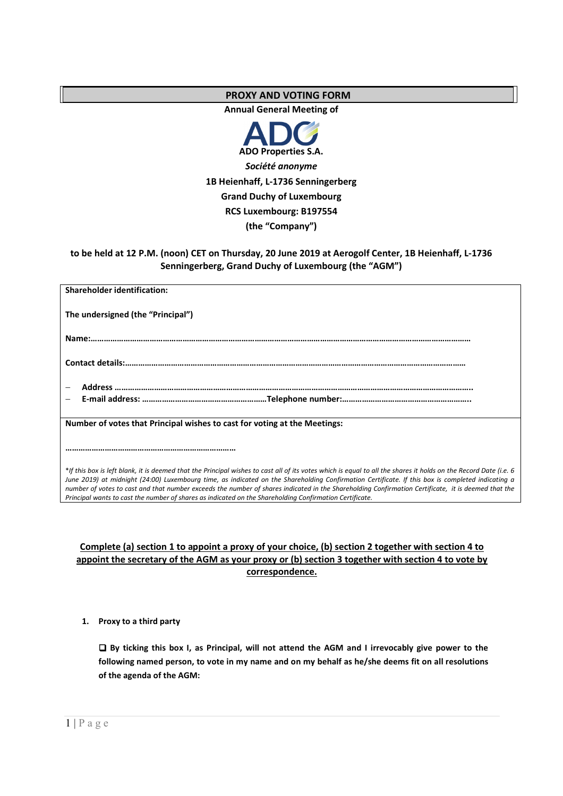# **PROXY AND VOTING FORM**

**Annual General Meeting of** 



# **to be held at 12 P.M. (noon) CET on Thursday, 20 June 2019 at Aerogolf Center, 1B Heienhaff, L-1736 Senningerberg, Grand Duchy of Luxembourg (the "AGM")**

| <b>Shareholder identification:</b>                                                                                                                                                                                                                                                                                                                                                                                                                                                                                                                                                    |
|---------------------------------------------------------------------------------------------------------------------------------------------------------------------------------------------------------------------------------------------------------------------------------------------------------------------------------------------------------------------------------------------------------------------------------------------------------------------------------------------------------------------------------------------------------------------------------------|
| The undersigned (the "Principal")                                                                                                                                                                                                                                                                                                                                                                                                                                                                                                                                                     |
|                                                                                                                                                                                                                                                                                                                                                                                                                                                                                                                                                                                       |
|                                                                                                                                                                                                                                                                                                                                                                                                                                                                                                                                                                                       |
|                                                                                                                                                                                                                                                                                                                                                                                                                                                                                                                                                                                       |
|                                                                                                                                                                                                                                                                                                                                                                                                                                                                                                                                                                                       |
| Number of votes that Principal wishes to cast for voting at the Meetings:                                                                                                                                                                                                                                                                                                                                                                                                                                                                                                             |
|                                                                                                                                                                                                                                                                                                                                                                                                                                                                                                                                                                                       |
| *If this box is left blank, it is deemed that the Principal wishes to cast all of its votes which is equal to all the shares it holds on the Record Date (i.e. 6<br>June 2019) at midnight (24:00) Luxembourg time, as indicated on the Shareholding Confirmation Certificate. If this box is completed indicating a<br>number of votes to cast and that number exceeds the number of shares indicated in the Shareholding Confirmation Certificate, it is deemed that the<br>Principal wants to cast the number of shares as indicated on the Shareholding Confirmation Certificate. |

# **Complete (a) section 1 to appoint a proxy of your choice, (b) section 2 together with section 4 to appoint the secretary of the AGM as your proxy or (b) section 3 together with section 4 to vote by correspondence.**

# **1. Proxy to a third party**

 **By ticking this box I, as Principal, will not attend the AGM and I irrevocably give power to the following named person, to vote in my name and on my behalf as he/she deems fit on all resolutions of the agenda of the AGM:**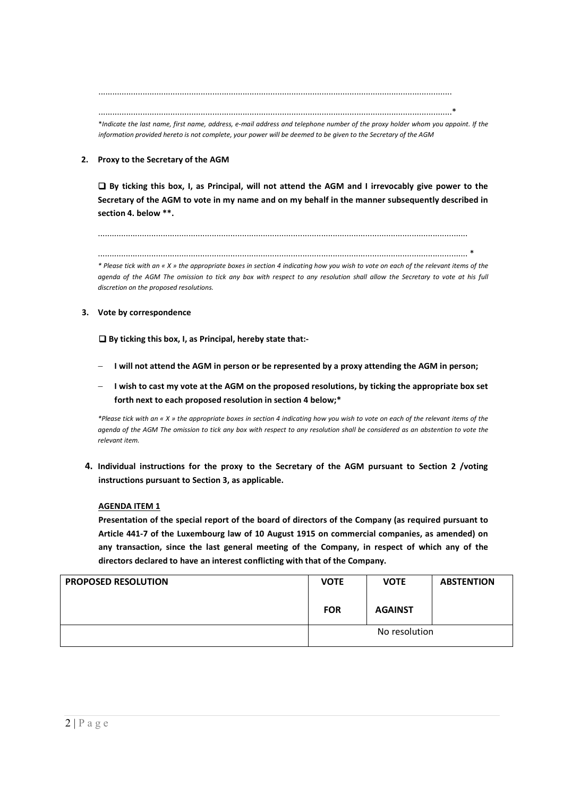........................................................................................................................................................

........................................................................................................................................................\* \**Indicate the last name, first name, address, e-mail address and telephone number of the proxy holder whom you appoint. If the information provided hereto is not complete, your power will be deemed to be given to the Secretary of the AGM* 

## **2. Proxy to the Secretary of the AGM**

 **By ticking this box, I, as Principal, will not attend the AGM and I irrevocably give power to the Secretary of the AGM to vote in my name and on my behalf in the manner subsequently described in section 4. below \*\*.** 

...............................................................................................................................................................

............................................................................................................................................................... \*

*\* Please tick with an « X » the appropriate boxes in section 4 indicating how you wish to vote on each of the relevant items of the agenda of the AGM The omission to tick any box with respect to any resolution shall allow the Secretary to vote at his full discretion on the proposed resolutions.* 

#### **3. Vote by correspondence**

 **By ticking this box, I, as Principal, hereby state that:-** 

- **I** will not attend the AGM in person or be represented by a proxy attending the AGM in person;
- **I** wish to cast my vote at the AGM on the proposed resolutions, by ticking the appropriate box set **forth next to each proposed resolution in section 4 below;\***

*\*Please tick with an « X » the appropriate boxes in section 4 indicating how you wish to vote on each of the relevant items of the agenda of the AGM The omission to tick any box with respect to any resolution shall be considered as an abstention to vote the relevant item.* 

**4. Individual instructions for the proxy to the Secretary of the AGM pursuant to Section 2 /voting instructions pursuant to Section 3, as applicable.**

#### **AGENDA ITEM 1**

**Presentation of the special report of the board of directors of the Company (as required pursuant to Article 441-7 of the Luxembourg law of 10 August 1915 on commercial companies, as amended) on any transaction, since the last general meeting of the Company, in respect of which any of the directors declared to have an interest conflicting with that of the Company.** 

| <b>PROPOSED RESOLUTION</b> | <b>VOTE</b> | <b>VOTE</b>    | <b>ABSTENTION</b> |
|----------------------------|-------------|----------------|-------------------|
|                            | <b>FOR</b>  | <b>AGAINST</b> |                   |
|                            |             | No resolution  |                   |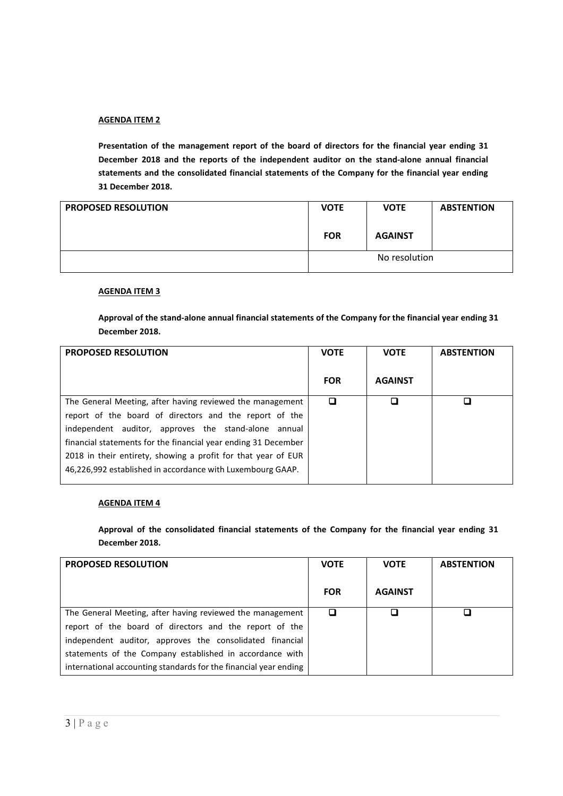**Presentation of the management report of the board of directors for the financial year ending 31 December 2018 and the reports of the independent auditor on the stand-alone annual financial statements and the consolidated financial statements of the Company for the financial year ending 31 December 2018.** 

| <b>PROPOSED RESOLUTION</b> | <b>VOTE</b> | <b>VOTE</b>    | <b>ABSTENTION</b> |
|----------------------------|-------------|----------------|-------------------|
|                            | <b>FOR</b>  | <b>AGAINST</b> |                   |
|                            |             | No resolution  |                   |

## **AGENDA ITEM 3**

**Approval of the stand-alone annual financial statements of the Company for the financial year ending 31 December 2018.** 

| <b>PROPOSED RESOLUTION</b>                                     | <b>VOTE</b> | <b>VOTE</b>    | <b>ABSTENTION</b> |
|----------------------------------------------------------------|-------------|----------------|-------------------|
|                                                                | <b>FOR</b>  | <b>AGAINST</b> |                   |
| The General Meeting, after having reviewed the management      | □           | п              |                   |
| report of the board of directors and the report of the         |             |                |                   |
| independent auditor, approves the stand-alone annual           |             |                |                   |
| financial statements for the financial year ending 31 December |             |                |                   |
| 2018 in their entirety, showing a profit for that year of EUR  |             |                |                   |
| 46,226,992 established in accordance with Luxembourg GAAP.     |             |                |                   |

#### **AGENDA ITEM 4**

**Approval of the consolidated financial statements of the Company for the financial year ending 31 December 2018.**

| <b>PROPOSED RESOLUTION</b>                                       | <b>VOTE</b> | <b>VOTE</b>    | <b>ABSTENTION</b> |
|------------------------------------------------------------------|-------------|----------------|-------------------|
|                                                                  | <b>FOR</b>  | <b>AGAINST</b> |                   |
| The General Meeting, after having reviewed the management        |             |                |                   |
| report of the board of directors and the report of the           |             |                |                   |
| independent auditor, approves the consolidated financial         |             |                |                   |
| statements of the Company established in accordance with         |             |                |                   |
| international accounting standards for the financial year ending |             |                |                   |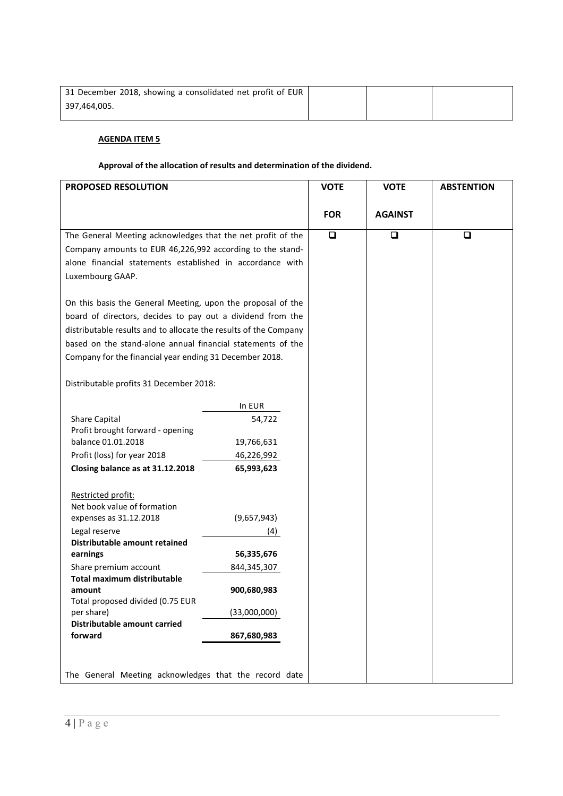| 31 December 2018, showing a consolidated net profit of EUR |  |  |
|------------------------------------------------------------|--|--|
| 397,464,005.                                               |  |  |

## **Approval of the allocation of results and determination of the dividend.**

| PROPOSED RESOLUTION                                              |              | <b>VOTE</b> | <b>VOTE</b>    | <b>ABSTENTION</b> |
|------------------------------------------------------------------|--------------|-------------|----------------|-------------------|
|                                                                  |              |             |                |                   |
|                                                                  |              | <b>FOR</b>  | <b>AGAINST</b> |                   |
| The General Meeting acknowledges that the net profit of the      |              | $\Box$      | $\Box$         | $\Box$            |
| Company amounts to EUR 46,226,992 according to the stand-        |              |             |                |                   |
| alone financial statements established in accordance with        |              |             |                |                   |
| Luxembourg GAAP.                                                 |              |             |                |                   |
|                                                                  |              |             |                |                   |
| On this basis the General Meeting, upon the proposal of the      |              |             |                |                   |
| board of directors, decides to pay out a dividend from the       |              |             |                |                   |
| distributable results and to allocate the results of the Company |              |             |                |                   |
| based on the stand-alone annual financial statements of the      |              |             |                |                   |
| Company for the financial year ending 31 December 2018.          |              |             |                |                   |
|                                                                  |              |             |                |                   |
| Distributable profits 31 December 2018:                          |              |             |                |                   |
|                                                                  | In EUR       |             |                |                   |
| Share Capital                                                    | 54,722       |             |                |                   |
| Profit brought forward - opening                                 |              |             |                |                   |
| balance 01.01.2018                                               | 19,766,631   |             |                |                   |
| Profit (loss) for year 2018                                      | 46,226,992   |             |                |                   |
| Closing balance as at 31.12.2018                                 | 65,993,623   |             |                |                   |
|                                                                  |              |             |                |                   |
| Restricted profit:<br>Net book value of formation                |              |             |                |                   |
| expenses as 31.12.2018                                           | (9,657,943)  |             |                |                   |
| Legal reserve                                                    | (4)          |             |                |                   |
| Distributable amount retained                                    |              |             |                |                   |
| earnings                                                         | 56,335,676   |             |                |                   |
| Share premium account                                            | 844,345,307  |             |                |                   |
| Total maximum distributable                                      |              |             |                |                   |
| amount                                                           | 900,680,983  |             |                |                   |
| Total proposed divided (0.75 EUR                                 |              |             |                |                   |
| per share)<br>Distributable amount carried                       | (33,000,000) |             |                |                   |
| forward                                                          | 867,680,983  |             |                |                   |
|                                                                  |              |             |                |                   |
|                                                                  |              |             |                |                   |
| The General Meeting acknowledges that the record date            |              |             |                |                   |
|                                                                  |              |             |                |                   |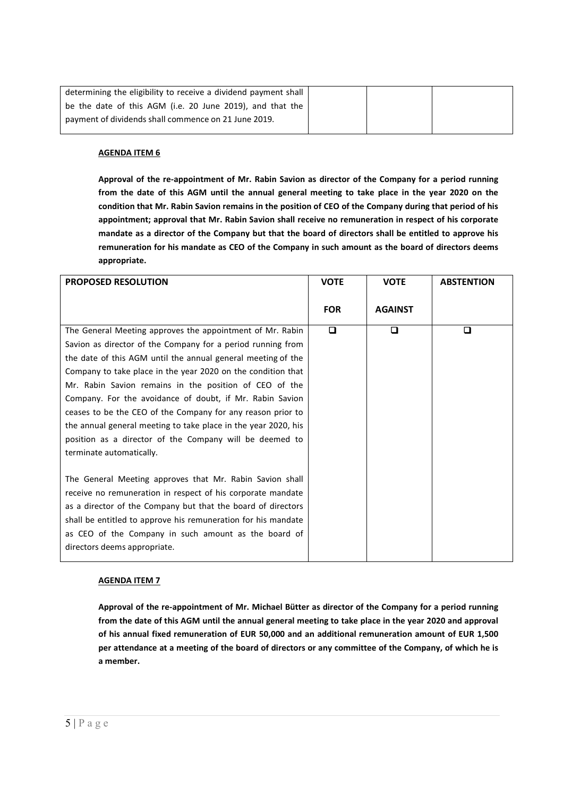| determining the eligibility to receive a dividend payment shall |  |  |
|-----------------------------------------------------------------|--|--|
| be the date of this AGM (i.e. 20 June 2019), and that the       |  |  |
| payment of dividends shall commence on 21 June 2019.            |  |  |
|                                                                 |  |  |

**Approval of the re-appointment of Mr. Rabin Savion as director of the Company for a period running from the date of this AGM until the annual general meeting to take place in the year 2020 on the condition that Mr. Rabin Savion remains in the position of CEO of the Company during that period of his appointment; approval that Mr. Rabin Savion shall receive no remuneration in respect of his corporate mandate as a director of the Company but that the board of directors shall be entitled to approve his remuneration for his mandate as CEO of the Company in such amount as the board of directors deems appropriate.**

| <b>PROPOSED RESOLUTION</b>                                     | <b>VOTE</b> | <b>VOTE</b>    | <b>ABSTENTION</b> |
|----------------------------------------------------------------|-------------|----------------|-------------------|
|                                                                | <b>FOR</b>  | <b>AGAINST</b> |                   |
|                                                                |             |                |                   |
| The General Meeting approves the appointment of Mr. Rabin      | $\Box$      | $\Box$         | □                 |
| Savion as director of the Company for a period running from    |             |                |                   |
| the date of this AGM until the annual general meeting of the   |             |                |                   |
| Company to take place in the year 2020 on the condition that   |             |                |                   |
| Mr. Rabin Savion remains in the position of CEO of the         |             |                |                   |
| Company. For the avoidance of doubt, if Mr. Rabin Savion       |             |                |                   |
| ceases to be the CEO of the Company for any reason prior to    |             |                |                   |
| the annual general meeting to take place in the year 2020, his |             |                |                   |
| position as a director of the Company will be deemed to        |             |                |                   |
| terminate automatically.                                       |             |                |                   |
|                                                                |             |                |                   |
| The General Meeting approves that Mr. Rabin Savion shall       |             |                |                   |
| receive no remuneration in respect of his corporate mandate    |             |                |                   |
| as a director of the Company but that the board of directors   |             |                |                   |
| shall be entitled to approve his remuneration for his mandate  |             |                |                   |
| as CEO of the Company in such amount as the board of           |             |                |                   |
| directors deems appropriate.                                   |             |                |                   |
|                                                                |             |                |                   |

#### **AGENDA ITEM 7**

**Approval of the re-appointment of Mr. Michael Bütter as director of the Company for a period running from the date of this AGM until the annual general meeting to take place in the year 2020 and approval of his annual fixed remuneration of EUR 50,000 and an additional remuneration amount of EUR 1,500 per attendance at a meeting of the board of directors or any committee of the Company, of which he is a member.**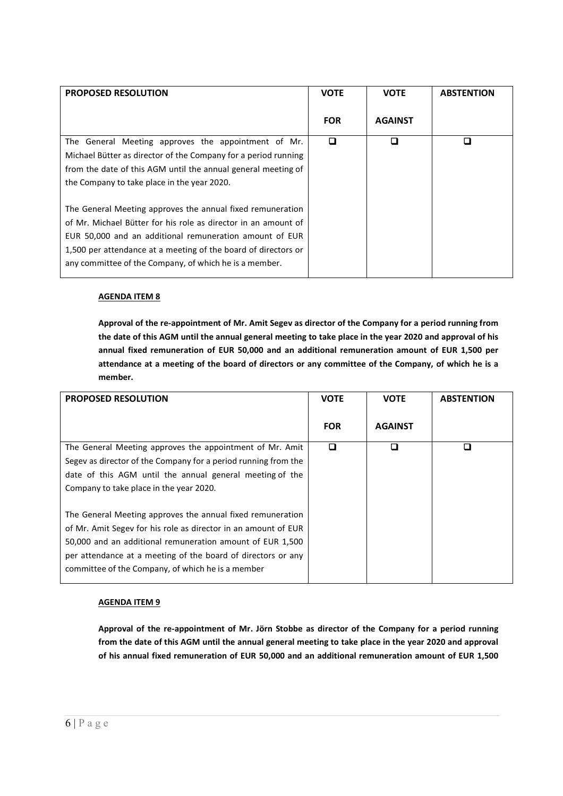| <b>PROPOSED RESOLUTION</b>                                     | <b>VOTE</b> | <b>VOTE</b>    | <b>ABSTENTION</b> |
|----------------------------------------------------------------|-------------|----------------|-------------------|
|                                                                | <b>FOR</b>  | <b>AGAINST</b> |                   |
| The General Meeting approves the appointment of Mr.            | □           | ◘              | □                 |
| Michael Bütter as director of the Company for a period running |             |                |                   |
| from the date of this AGM until the annual general meeting of  |             |                |                   |
| the Company to take place in the year 2020.                    |             |                |                   |
| The General Meeting approves the annual fixed remuneration     |             |                |                   |
| of Mr. Michael Bütter for his role as director in an amount of |             |                |                   |
| EUR 50,000 and an additional remuneration amount of EUR        |             |                |                   |
| 1,500 per attendance at a meeting of the board of directors or |             |                |                   |
| any committee of the Company, of which he is a member.         |             |                |                   |

**Approval of the re-appointment of Mr. Amit Segev as director of the Company for a period running from the date of this AGM until the annual general meeting to take place in the year 2020 and approval of his annual fixed remuneration of EUR 50,000 and an additional remuneration amount of EUR 1,500 per attendance at a meeting of the board of directors or any committee of the Company, of which he is a member.**

| <b>PROPOSED RESOLUTION</b>                                     | <b>VOTE</b> | <b>VOTE</b>    | <b>ABSTENTION</b> |
|----------------------------------------------------------------|-------------|----------------|-------------------|
|                                                                | <b>FOR</b>  | <b>AGAINST</b> |                   |
| The General Meeting approves the appointment of Mr. Amit       | □           | ◘              | LΙ                |
| Segev as director of the Company for a period running from the |             |                |                   |
| date of this AGM until the annual general meeting of the       |             |                |                   |
| Company to take place in the year 2020.                        |             |                |                   |
|                                                                |             |                |                   |
| The General Meeting approves the annual fixed remuneration     |             |                |                   |
| of Mr. Amit Segev for his role as director in an amount of EUR |             |                |                   |
| 50,000 and an additional remuneration amount of EUR 1,500      |             |                |                   |
| per attendance at a meeting of the board of directors or any   |             |                |                   |
| committee of the Company, of which he is a member              |             |                |                   |

# **AGENDA ITEM 9**

**Approval of the re-appointment of Mr. Jörn Stobbe as director of the Company for a period running from the date of this AGM until the annual general meeting to take place in the year 2020 and approval of his annual fixed remuneration of EUR 50,000 and an additional remuneration amount of EUR 1,500**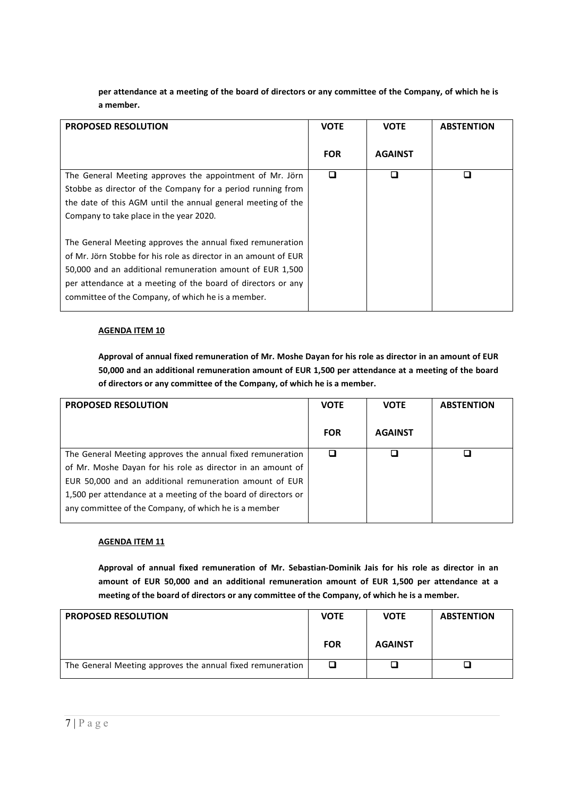**per attendance at a meeting of the board of directors or any committee of the Company, of which he is a member.**

| <b>PROPOSED RESOLUTION</b>                                      | <b>VOTE</b> | <b>VOTE</b>    | <b>ABSTENTION</b> |
|-----------------------------------------------------------------|-------------|----------------|-------------------|
|                                                                 | <b>FOR</b>  | <b>AGAINST</b> |                   |
| The General Meeting approves the appointment of Mr. Jörn        | □           | П              |                   |
| Stobbe as director of the Company for a period running from     |             |                |                   |
| the date of this AGM until the annual general meeting of the    |             |                |                   |
| Company to take place in the year 2020.                         |             |                |                   |
| The General Meeting approves the annual fixed remuneration      |             |                |                   |
| of Mr. Jörn Stobbe for his role as director in an amount of EUR |             |                |                   |
| 50,000 and an additional remuneration amount of EUR 1,500       |             |                |                   |
| per attendance at a meeting of the board of directors or any    |             |                |                   |
| committee of the Company, of which he is a member.              |             |                |                   |
|                                                                 |             |                |                   |

#### **AGENDA ITEM 10**

**Approval of annual fixed remuneration of Mr. Moshe Dayan for his role as director in an amount of EUR 50,000 and an additional remuneration amount of EUR 1,500 per attendance at a meeting of the board of directors or any committee of the Company, of which he is a member.**

| <b>PROPOSED RESOLUTION</b>                                     | <b>VOTE</b> | <b>VOTE</b>    | <b>ABSTENTION</b> |
|----------------------------------------------------------------|-------------|----------------|-------------------|
|                                                                | <b>FOR</b>  | <b>AGAINST</b> |                   |
| The General Meeting approves the annual fixed remuneration     |             |                |                   |
| of Mr. Moshe Dayan for his role as director in an amount of    |             |                |                   |
| EUR 50,000 and an additional remuneration amount of EUR        |             |                |                   |
| 1,500 per attendance at a meeting of the board of directors or |             |                |                   |
| any committee of the Company, of which he is a member          |             |                |                   |
|                                                                |             |                |                   |

## **AGENDA ITEM 11**

**Approval of annual fixed remuneration of Mr. Sebastian-Dominik Jais for his role as director in an amount of EUR 50,000 and an additional remuneration amount of EUR 1,500 per attendance at a meeting of the board of directors or any committee of the Company, of which he is a member.**

| <b>PROPOSED RESOLUTION</b>                                 | <b>VOTE</b> | <b>VOTE</b>    | <b>ABSTENTION</b> |
|------------------------------------------------------------|-------------|----------------|-------------------|
|                                                            | <b>FOR</b>  | <b>AGAINST</b> |                   |
| The General Meeting approves the annual fixed remuneration |             |                |                   |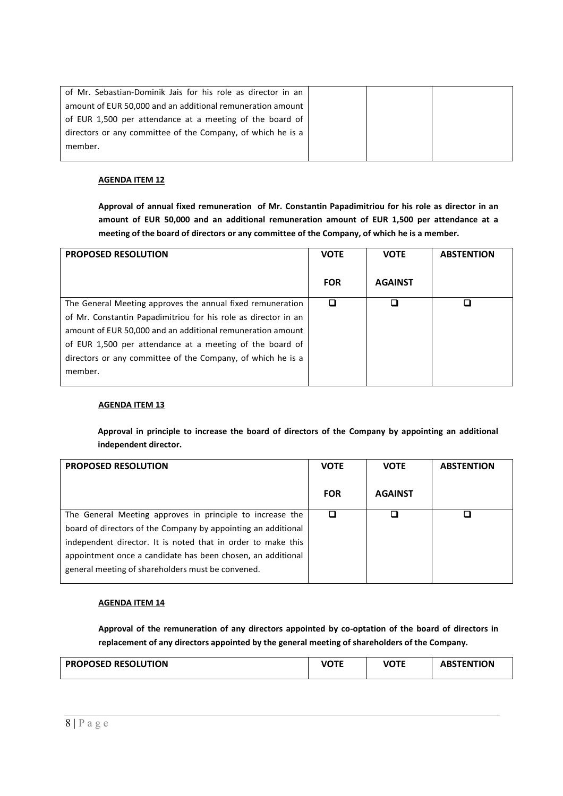| of Mr. Sebastian-Dominik Jais for his role as director in an |  |  |
|--------------------------------------------------------------|--|--|
| amount of EUR 50,000 and an additional remuneration amount   |  |  |
| of EUR 1,500 per attendance at a meeting of the board of     |  |  |
| directors or any committee of the Company, of which he is a  |  |  |
| member.                                                      |  |  |
|                                                              |  |  |

**Approval of annual fixed remuneration of Mr. Constantin Papadimitriou for his role as director in an amount of EUR 50,000 and an additional remuneration amount of EUR 1,500 per attendance at a meeting of the board of directors or any committee of the Company, of which he is a member.**

| <b>PROPOSED RESOLUTION</b>                                     | <b>VOTE</b> | <b>VOTE</b>    | <b>ABSTENTION</b> |
|----------------------------------------------------------------|-------------|----------------|-------------------|
|                                                                | <b>FOR</b>  | <b>AGAINST</b> |                   |
| The General Meeting approves the annual fixed remuneration     |             | П              |                   |
| of Mr. Constantin Papadimitriou for his role as director in an |             |                |                   |
| amount of EUR 50,000 and an additional remuneration amount     |             |                |                   |
| of EUR 1,500 per attendance at a meeting of the board of       |             |                |                   |
| directors or any committee of the Company, of which he is a    |             |                |                   |
| member.                                                        |             |                |                   |

#### **AGENDA ITEM 13**

**Approval in principle to increase the board of directors of the Company by appointing an additional independent director.** 

| <b>PROPOSED RESOLUTION</b>                                    | <b>VOTE</b> | <b>VOTE</b>    | <b>ABSTENTION</b> |
|---------------------------------------------------------------|-------------|----------------|-------------------|
|                                                               | <b>FOR</b>  | <b>AGAINST</b> |                   |
| The General Meeting approves in principle to increase the     |             |                |                   |
| board of directors of the Company by appointing an additional |             |                |                   |
| independent director. It is noted that in order to make this  |             |                |                   |
| appointment once a candidate has been chosen, an additional   |             |                |                   |
| general meeting of shareholders must be convened.             |             |                |                   |

## **AGENDA ITEM 14**

**Approval of the remuneration of any directors appointed by co-optation of the board of directors in replacement of any directors appointed by the general meeting of shareholders of the Company.**

| <b>PROPOSED RESOLUTION</b> | <b>VOTE</b> | <b>VOTE</b> | <b>ABSTENTION</b> |
|----------------------------|-------------|-------------|-------------------|
|                            |             |             |                   |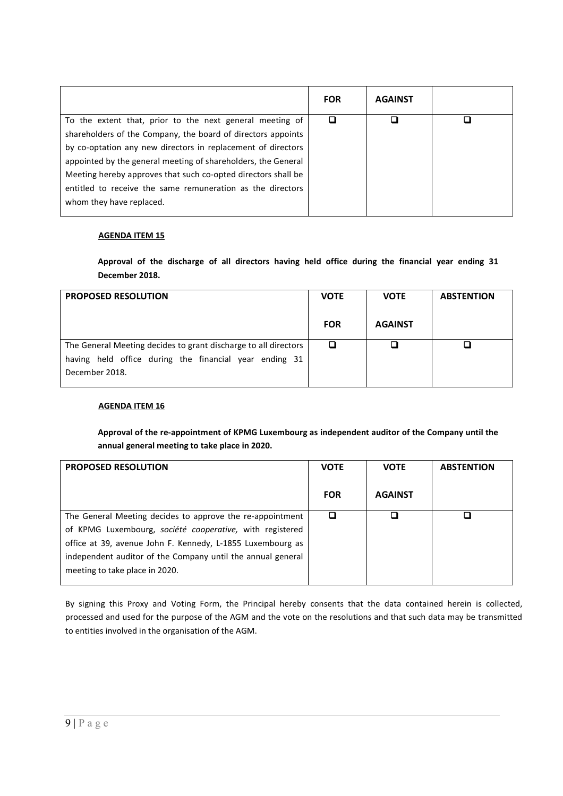| <b>FOR</b> | <b>AGAINST</b> |  |
|------------|----------------|--|
| □          |                |  |
|            |                |  |
|            |                |  |
|            |                |  |
|            |                |  |
|            |                |  |
|            |                |  |
|            |                |  |

**Approval of the discharge of all directors having held office during the financial year ending 31 December 2018.**

| <b>PROPOSED RESOLUTION</b>                                               | <b>VOTE</b> | <b>VOTE</b>    | <b>ABSTENTION</b> |
|--------------------------------------------------------------------------|-------------|----------------|-------------------|
|                                                                          | <b>FOR</b>  | <b>AGAINST</b> |                   |
| The General Meeting decides to grant discharge to all directors          |             |                |                   |
| having held office during the financial year ending 31<br>December 2018. |             |                |                   |

#### **AGENDA ITEM 16**

**Approval of the re-appointment of KPMG Luxembourg as independent auditor of the Company until the annual general meeting to take place in 2020.**

| <b>PROPOSED RESOLUTION</b>                                  | <b>VOTE</b> | <b>VOTE</b>    | <b>ABSTENTION</b> |
|-------------------------------------------------------------|-------------|----------------|-------------------|
|                                                             | <b>FOR</b>  | <b>AGAINST</b> |                   |
| The General Meeting decides to approve the re-appointment   |             |                |                   |
| of KPMG Luxembourg, société cooperative, with registered    |             |                |                   |
| office at 39, avenue John F. Kennedy, L-1855 Luxembourg as  |             |                |                   |
| independent auditor of the Company until the annual general |             |                |                   |
| meeting to take place in 2020.                              |             |                |                   |

By signing this Proxy and Voting Form, the Principal hereby consents that the data contained herein is collected, processed and used for the purpose of the AGM and the vote on the resolutions and that such data may be transmitted to entities involved in the organisation of the AGM.